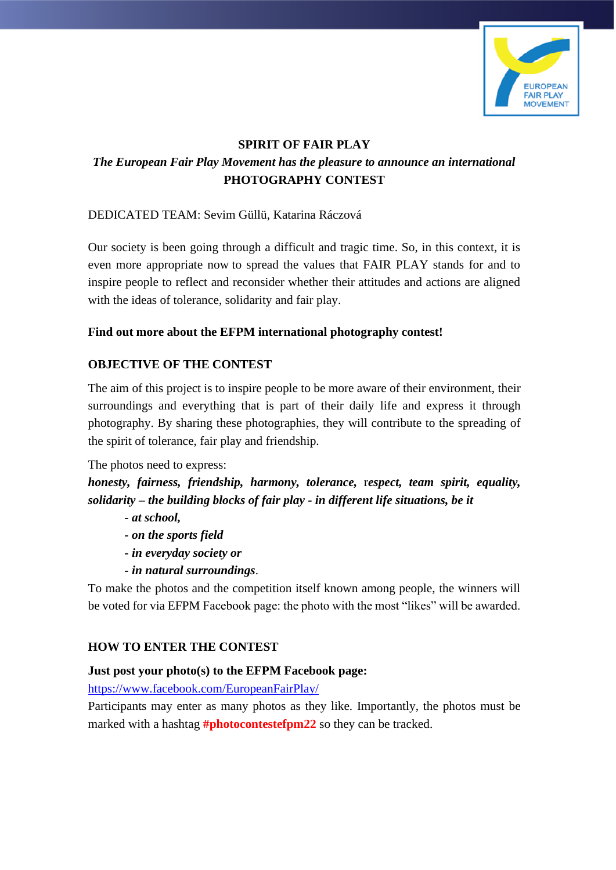

### **SPIRIT OF FAIR PLAY**

# *The European Fair Play Movement has the pleasure to announce an international*  **PHOTOGRAPHY CONTEST**

### DEDICATED TEAM: Sevim Güllü, Katarina Ráczová

Our society is been going through a difficult and tragic time. So, in this context, it is even more appropriate now to spread the values that FAIR PLAY stands for and to inspire people to reflect and reconsider whether their attitudes and actions are aligned with the ideas of tolerance, solidarity and fair play.

#### **Find out more about the EFPM international photography contest!**

### **OBJECTIVE OF THE CONTEST**

The aim of this project is to inspire people to be more aware of their environment, their surroundings and everything that is part of their daily life and express it through photography. By sharing these photographies, they will contribute to the spreading of the spirit of tolerance, fair play and friendship.

The photos need to express:

*honesty, fairness, friendship, harmony, tolerance,* r*espect, team spirit, equality, solidarity – the building blocks of fair play - in different life situations, be it* 

- *- at school,*
- *- on the sports field*
- *- in everyday society or*
- *- in natural surroundings*.

To make the photos and the competition itself known among people, the winners will be voted for via EFPM Facebook page: the photo with the most "likes" will be awarded.

#### **HOW TO ENTER THE CONTEST**

#### **Just post your photo(s) to the EFPM Facebook page:**

<https://www.facebook.com/EuropeanFairPlay/>

Participants may enter as many photos as they like. Importantly, the photos must be marked with a hashtag **#photocontestefpm22** so they can be tracked.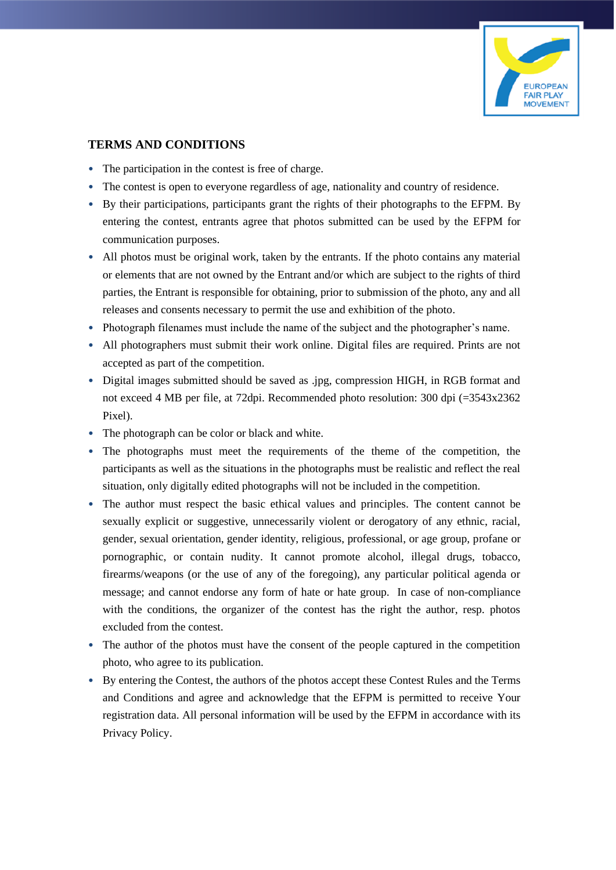

#### **TERMS AND CONDITIONS**

- The participation in the contest is free of charge.
- The contest is open to everyone regardless of age, nationality and country of residence.
- By their participations, participants grant the rights of their photographs to the EFPM. By entering the contest, entrants agree that photos submitted can be used by the EFPM for communication purposes.
- All photos must be original work, taken by the entrants. If the photo contains any material or elements that are not owned by the Entrant and/or which are subject to the rights of third parties, the Entrant is responsible for obtaining, prior to submission of the photo, any and all releases and consents necessary to permit the use and exhibition of the photo.
- Photograph filenames must include the name of the subject and the photographer's name.
- All photographers must submit their work online. Digital files are required. Prints are not accepted as part of the competition.
- Digital images submitted should be saved as .jpg, compression HIGH, in RGB format and not exceed 4 MB per file, at 72dpi. Recommended photo resolution: 300 dpi (=3543x2362 Pixel).
- The photograph can be color or black and white.
- The photographs must meet the requirements of the theme of the competition, the participants as well as the situations in the photographs must be realistic and reflect the real situation, only digitally edited photographs will not be included in the competition.
- The author must respect the basic ethical values and principles. The content cannot be sexually explicit or suggestive, unnecessarily violent or derogatory of any ethnic, racial, gender, sexual orientation, gender identity, religious, professional, or age group, profane or pornographic, or contain nudity. It cannot promote alcohol, illegal drugs, tobacco, firearms/weapons (or the use of any of the foregoing), any particular political agenda or message; and cannot endorse any form of hate or hate group. In case of non-compliance with the conditions, the organizer of the contest has the right the author, resp. photos excluded from the contest.
- The author of the photos must have the consent of the people captured in the competition photo, who agree to its publication.
- By entering the Contest, the authors of the photos accept these Contest Rules and the Terms and Conditions and agree and acknowledge that the EFPM is permitted to receive Your registration data. All personal information will be used by the EFPM in accordance with its Privacy Policy.